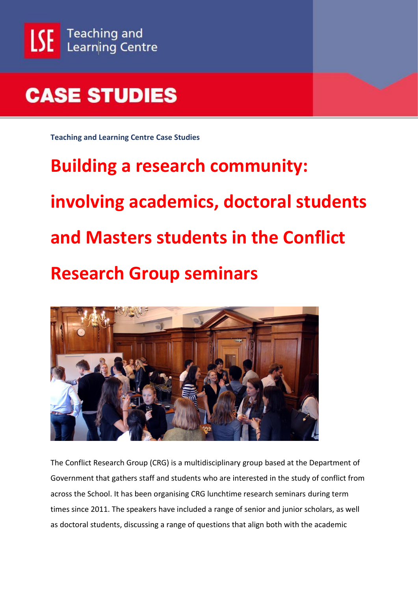

**Teaching and Learning Centre Case Studies**

# **Building a research community: involving academics, doctoral students and Masters students in the Conflict Research Group seminars**



The Conflict Research Group (CRG) is a multidisciplinary group based at the Department of Government that gathers staff and students who are interested in the study of conflict from across the School. It has been organising CRG lunchtime research seminars during term times since 2011. The speakers have included a range of senior and junior scholars, as well as doctoral students, discussing a range of questions that align both with the academic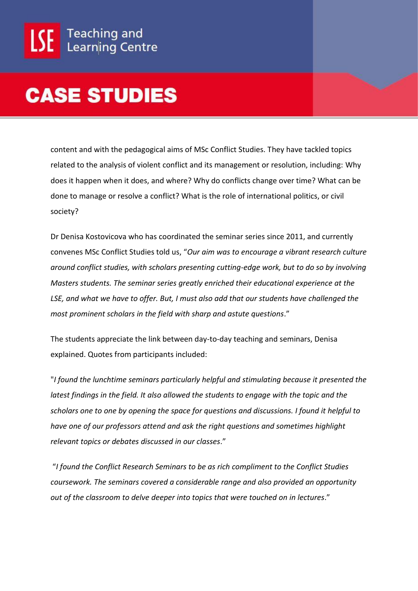content and with the pedagogical aims of MSc Conflict Studies. They have tackled topics related to the analysis of violent conflict and its management or resolution, including: Why does it happen when it does, and where? Why do conflicts change over time? What can be done to manage or resolve a conflict? What is the role of international politics, or civil society?

Dr Denisa Kostovicova who has coordinated the seminar series since 2011, and currently convenes MSc Conflict Studies told us, "*Our aim was to encourage a vibrant research culture around conflict studies, with scholars presenting cutting-edge work, but to do so by involving Masters students. The seminar series greatly enriched their educational experience at the LSE, and what we have to offer. But, I must also add that our students have challenged the most prominent scholars in the field with sharp and astute questions*."

The students appreciate the link between day-to-day teaching and seminars, Denisa explained. Quotes from participants included:

"*I found the lunchtime seminars particularly helpful and stimulating because it presented the latest findings in the field. It also allowed the students to engage with the topic and the scholars one to one by opening the space for questions and discussions. I found it helpful to have one of our professors attend and ask the right questions and sometimes highlight relevant topics or debates discussed in our classes*."

"*I found the Conflict Research Seminars to be as rich compliment to the Conflict Studies coursework. The seminars covered a considerable range and also provided an opportunity out of the classroom to delve deeper into topics that were touched on in lectures*."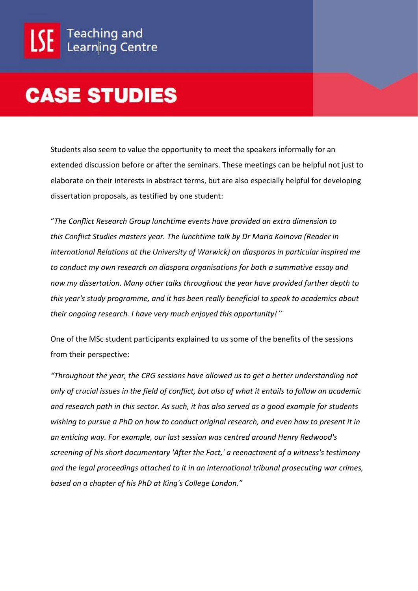Students also seem to value the opportunity to meet the speakers informally for an extended discussion before or after the seminars. These meetings can be helpful not just to elaborate on their interests in abstract terms, but are also especially helpful for developing dissertation proposals, as testified by one student:

"*The Conflict Research Group lunchtime events have provided an extra dimension to this Conflict Studies masters year. The lunchtime talk by Dr Maria Koinova (Reader in International Relations at the University of Warwick) on diasporas in particular inspired me to conduct my own research on diaspora organisations for both a summative essay and now my dissertation. Many other talks throughout the year have provided further depth to this year's study programme, and it has been really beneficial to speak to academics about their ongoing research. I have very much enjoyed this opportunity!"*

One of the MSc student participants explained to us some of the benefits of the sessions from their perspective:

*"Throughout the year, the CRG sessions have allowed us to get a better understanding not only of crucial issues in the field of conflict, but also of what it entails to follow an academic and research path in this sector. As such, it has also served as a good example for students wishing to pursue a PhD on how to conduct original research, and even how to present it in an enticing way. For example, our last session was centred around Henry Redwood's screening of his short documentary 'After the Fact,' a reenactment of a witness's testimony and the legal proceedings attached to it in an international tribunal prosecuting war crimes, based on a chapter of his PhD at King's College London."*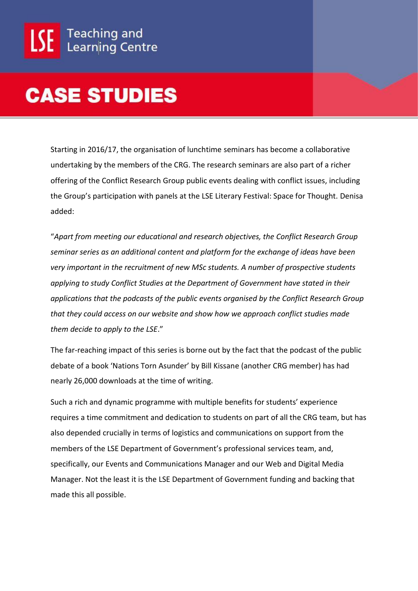Starting in 2016/17, the organisation of lunchtime seminars has become a collaborative undertaking by the members of the CRG. The research seminars are also part of a richer offering of the Conflict Research Group public events dealing with conflict issues, including the Group's participation with panels at the LSE Literary Festival: Space for Thought. Denisa added:

"*Apart from meeting our educational and research objectives, the Conflict Research Group seminar series as an additional content and platform for the exchange of ideas have been very important in the recruitment of new MSc students. A number of prospective students applying to study Conflict Studies at the Department of Government have stated in their applications that the podcasts of the public events organised by the Conflict Research Group that they could access on our website and show how we approach conflict studies made them decide to apply to the LSE*."

The far-reaching impact of this series is borne out by the fact that the podcast of the public debate of a book 'Nations Torn Asunder' by Bill Kissane (another CRG member) has had nearly 26,000 downloads at the time of writing.

Such a rich and dynamic programme with multiple benefits for students' experience requires a time commitment and dedication to students on part of all the CRG team, but has also depended crucially in terms of logistics and communications on support from the members of the LSE Department of Government's professional services team, and, specifically, our Events and Communications Manager and our Web and Digital Media Manager. Not the least it is the LSE Department of Government funding and backing that made this all possible.